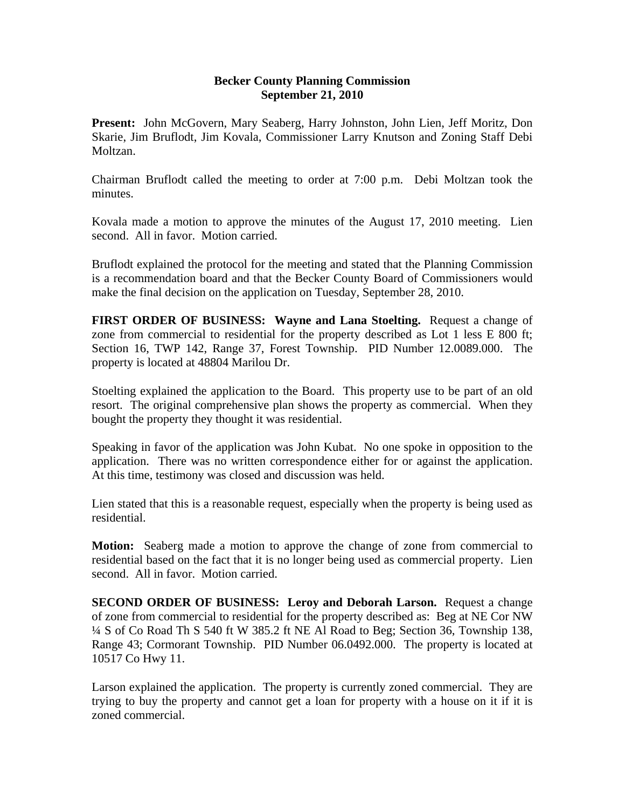## **Becker County Planning Commission September 21, 2010**

**Present:** John McGovern, Mary Seaberg, Harry Johnston, John Lien, Jeff Moritz, Don Skarie, Jim Bruflodt, Jim Kovala, Commissioner Larry Knutson and Zoning Staff Debi Moltzan.

Chairman Bruflodt called the meeting to order at 7:00 p.m. Debi Moltzan took the minutes.

Kovala made a motion to approve the minutes of the August 17, 2010 meeting. Lien second. All in favor. Motion carried.

Bruflodt explained the protocol for the meeting and stated that the Planning Commission is a recommendation board and that the Becker County Board of Commissioners would make the final decision on the application on Tuesday, September 28, 2010.

**FIRST ORDER OF BUSINESS: Wayne and Lana Stoelting.** Request a change of zone from commercial to residential for the property described as Lot 1 less E 800 ft; Section 16, TWP 142, Range 37, Forest Township. PID Number 12.0089.000. The property is located at 48804 Marilou Dr.

Stoelting explained the application to the Board. This property use to be part of an old resort. The original comprehensive plan shows the property as commercial. When they bought the property they thought it was residential.

Speaking in favor of the application was John Kubat. No one spoke in opposition to the application. There was no written correspondence either for or against the application. At this time, testimony was closed and discussion was held.

Lien stated that this is a reasonable request, especially when the property is being used as residential.

**Motion:** Seaberg made a motion to approve the change of zone from commercial to residential based on the fact that it is no longer being used as commercial property. Lien second. All in favor. Motion carried.

**SECOND ORDER OF BUSINESS: Leroy and Deborah Larson.** Request a change of zone from commercial to residential for the property described as: Beg at NE Cor NW ¼ S of Co Road Th S 540 ft W 385.2 ft NE Al Road to Beg; Section 36, Township 138, Range 43; Cormorant Township. PID Number 06.0492.000. The property is located at 10517 Co Hwy 11.

Larson explained the application. The property is currently zoned commercial. They are trying to buy the property and cannot get a loan for property with a house on it if it is zoned commercial.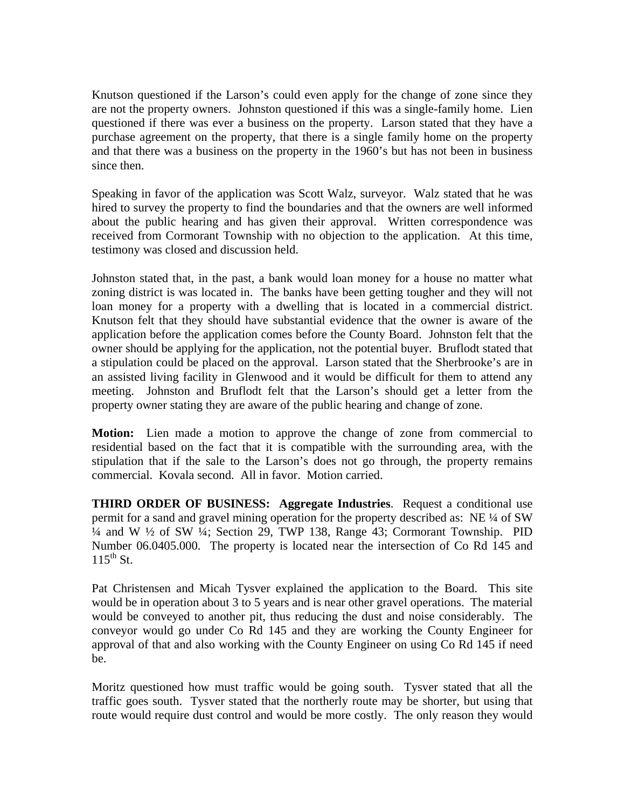Knutson questioned if the Larson's could even apply for the change of zone since they are not the property owners. Johnston questioned if this was a single-family home. Lien questioned if there was ever a business on the property. Larson stated that they have a purchase agreement on the property, that there is a single family home on the property and that there was a business on the property in the 1960's but has not been in business since then.

Speaking in favor of the application was Scott Walz, surveyor. Walz stated that he was hired to survey the property to find the boundaries and that the owners are well informed about the public hearing and has given their approval. Written correspondence was received from Cormorant Township with no objection to the application. At this time, testimony was closed and discussion held.

Johnston stated that, in the past, a bank would loan money for a house no matter what zoning district is was located in. The banks have been getting tougher and they will not loan money for a property with a dwelling that is located in a commercial district. Knutson felt that they should have substantial evidence that the owner is aware of the application before the application comes before the County Board. Johnston felt that the owner should be applying for the application, not the potential buyer. Bruflodt stated that a stipulation could be placed on the approval. Larson stated that the Sherbrooke's are in an assisted living facility in Glenwood and it would be difficult for them to attend any meeting. Johnston and Bruflodt felt that the Larson's should get a letter from the property owner stating they are aware of the public hearing and change of zone.

**Motion:** Lien made a motion to approve the change of zone from commercial to residential based on the fact that it is compatible with the surrounding area, with the stipulation that if the sale to the Larson's does not go through, the property remains commercial. Kovala second. All in favor. Motion carried.

**THIRD ORDER OF BUSINESS: Aggregate Industries**. Request a conditional use permit for a sand and gravel mining operation for the property described as: NE ¼ of SW ¼ and W ½ of SW ¼; Section 29, TWP 138, Range 43; Cormorant Township. PID Number 06.0405.000. The property is located near the intersection of Co Rd 145 and  $115^{th}$  St.

Pat Christensen and Micah Tysver explained the application to the Board. This site would be in operation about 3 to 5 years and is near other gravel operations. The material would be conveyed to another pit, thus reducing the dust and noise considerably. The conveyor would go under Co Rd 145 and they are working the County Engineer for approval of that and also working with the County Engineer on using Co Rd 145 if need be.

Moritz questioned how must traffic would be going south. Tysver stated that all the traffic goes south. Tysver stated that the northerly route may be shorter, but using that route would require dust control and would be more costly. The only reason they would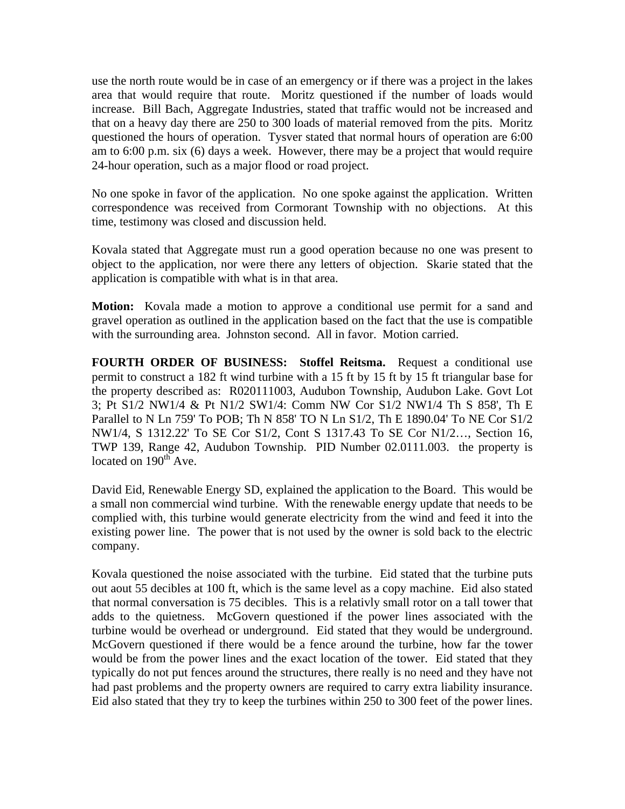use the north route would be in case of an emergency or if there was a project in the lakes area that would require that route. Moritz questioned if the number of loads would increase. Bill Bach, Aggregate Industries, stated that traffic would not be increased and that on a heavy day there are 250 to 300 loads of material removed from the pits. Moritz questioned the hours of operation. Tysver stated that normal hours of operation are 6:00 am to 6:00 p.m. six (6) days a week. However, there may be a project that would require 24-hour operation, such as a major flood or road project.

No one spoke in favor of the application. No one spoke against the application. Written correspondence was received from Cormorant Township with no objections. At this time, testimony was closed and discussion held.

Kovala stated that Aggregate must run a good operation because no one was present to object to the application, nor were there any letters of objection. Skarie stated that the application is compatible with what is in that area.

**Motion:** Kovala made a motion to approve a conditional use permit for a sand and gravel operation as outlined in the application based on the fact that the use is compatible with the surrounding area. Johnston second. All in favor. Motion carried.

**FOURTH ORDER OF BUSINESS: Stoffel Reitsma.** Request a conditional use permit to construct a 182 ft wind turbine with a 15 ft by 15 ft by 15 ft triangular base for the property described as: R020111003, Audubon Township, Audubon Lake. Govt Lot 3; Pt S1/2 NW1/4 & Pt N1/2 SW1/4: Comm NW Cor S1/2 NW1/4 Th S 858', Th E Parallel to N Ln 759' To POB; Th N 858' TO N Ln S1/2, Th E 1890.04' To NE Cor S1/2 NW1/4, S 1312.22' To SE Cor S1/2, Cont S 1317.43 To SE Cor N1/2…, Section 16, TWP 139, Range 42, Audubon Township. PID Number 02.0111.003. the property is located on  $190^{th}$  Ave.

David Eid, Renewable Energy SD, explained the application to the Board. This would be a small non commercial wind turbine. With the renewable energy update that needs to be complied with, this turbine would generate electricity from the wind and feed it into the existing power line. The power that is not used by the owner is sold back to the electric company.

Kovala questioned the noise associated with the turbine. Eid stated that the turbine puts out aout 55 decibles at 100 ft, which is the same level as a copy machine. Eid also stated that normal conversation is 75 decibles. This is a relativly small rotor on a tall tower that adds to the quietness. McGovern questioned if the power lines associated with the turbine would be overhead or underground. Eid stated that they would be underground. McGovern questioned if there would be a fence around the turbine, how far the tower would be from the power lines and the exact location of the tower. Eid stated that they typically do not put fences around the structures, there really is no need and they have not had past problems and the property owners are required to carry extra liability insurance. Eid also stated that they try to keep the turbines within 250 to 300 feet of the power lines.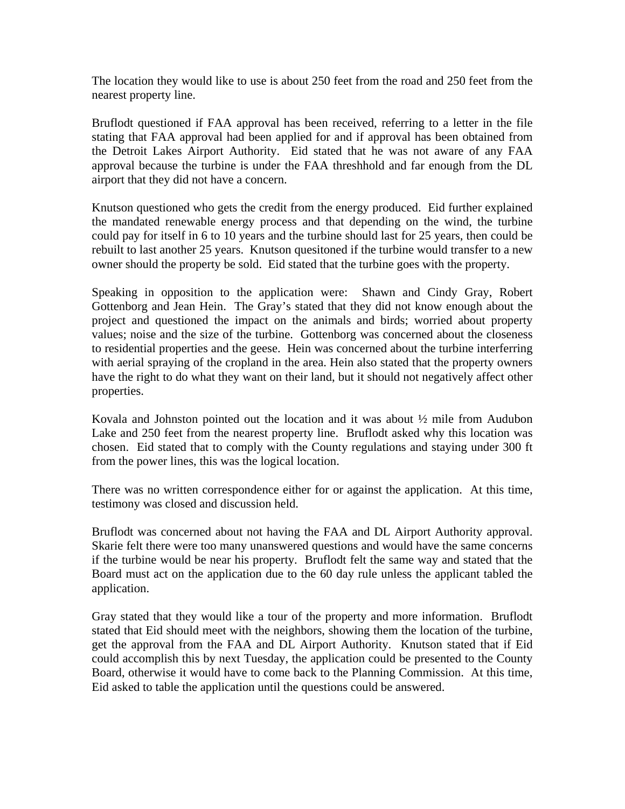The location they would like to use is about 250 feet from the road and 250 feet from the nearest property line.

Bruflodt questioned if FAA approval has been received, referring to a letter in the file stating that FAA approval had been applied for and if approval has been obtained from the Detroit Lakes Airport Authority. Eid stated that he was not aware of any FAA approval because the turbine is under the FAA threshhold and far enough from the DL airport that they did not have a concern.

Knutson questioned who gets the credit from the energy produced. Eid further explained the mandated renewable energy process and that depending on the wind, the turbine could pay for itself in 6 to 10 years and the turbine should last for 25 years, then could be rebuilt to last another 25 years. Knutson quesitoned if the turbine would transfer to a new owner should the property be sold. Eid stated that the turbine goes with the property.

Speaking in opposition to the application were: Shawn and Cindy Gray, Robert Gottenborg and Jean Hein. The Gray's stated that they did not know enough about the project and questioned the impact on the animals and birds; worried about property values; noise and the size of the turbine. Gottenborg was concerned about the closeness to residential properties and the geese. Hein was concerned about the turbine interferring with aerial spraying of the cropland in the area. Hein also stated that the property owners have the right to do what they want on their land, but it should not negatively affect other properties.

Kovala and Johnston pointed out the location and it was about ½ mile from Audubon Lake and 250 feet from the nearest property line. Bruflodt asked why this location was chosen. Eid stated that to comply with the County regulations and staying under 300 ft from the power lines, this was the logical location.

There was no written correspondence either for or against the application. At this time, testimony was closed and discussion held.

Bruflodt was concerned about not having the FAA and DL Airport Authority approval. Skarie felt there were too many unanswered questions and would have the same concerns if the turbine would be near his property. Bruflodt felt the same way and stated that the Board must act on the application due to the 60 day rule unless the applicant tabled the application.

Gray stated that they would like a tour of the property and more information. Bruflodt stated that Eid should meet with the neighbors, showing them the location of the turbine, get the approval from the FAA and DL Airport Authority. Knutson stated that if Eid could accomplish this by next Tuesday, the application could be presented to the County Board, otherwise it would have to come back to the Planning Commission. At this time, Eid asked to table the application until the questions could be answered.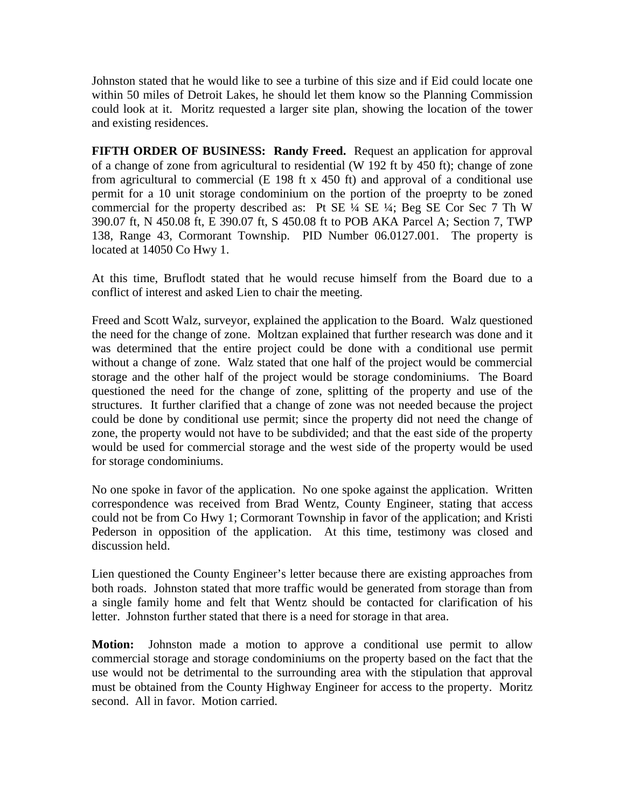Johnston stated that he would like to see a turbine of this size and if Eid could locate one within 50 miles of Detroit Lakes, he should let them know so the Planning Commission could look at it. Moritz requested a larger site plan, showing the location of the tower and existing residences.

**FIFTH ORDER OF BUSINESS: Randy Freed.** Request an application for approval of a change of zone from agricultural to residential (W 192 ft by 450 ft); change of zone from agricultural to commercial (E 198 ft x 450 ft) and approval of a conditional use permit for a 10 unit storage condominium on the portion of the proeprty to be zoned commercial for the property described as: Pt SE ¼ SE ¼; Beg SE Cor Sec 7 Th W 390.07 ft, N 450.08 ft, E 390.07 ft, S 450.08 ft to POB AKA Parcel A; Section 7, TWP 138, Range 43, Cormorant Township. PID Number 06.0127.001. The property is located at 14050 Co Hwy 1.

At this time, Bruflodt stated that he would recuse himself from the Board due to a conflict of interest and asked Lien to chair the meeting.

Freed and Scott Walz, surveyor, explained the application to the Board. Walz questioned the need for the change of zone. Moltzan explained that further research was done and it was determined that the entire project could be done with a conditional use permit without a change of zone. Walz stated that one half of the project would be commercial storage and the other half of the project would be storage condominiums. The Board questioned the need for the change of zone, splitting of the property and use of the structures. It further clarified that a change of zone was not needed because the project could be done by conditional use permit; since the property did not need the change of zone, the property would not have to be subdivided; and that the east side of the property would be used for commercial storage and the west side of the property would be used for storage condominiums.

No one spoke in favor of the application. No one spoke against the application. Written correspondence was received from Brad Wentz, County Engineer, stating that access could not be from Co Hwy 1; Cormorant Township in favor of the application; and Kristi Pederson in opposition of the application. At this time, testimony was closed and discussion held.

Lien questioned the County Engineer's letter because there are existing approaches from both roads. Johnston stated that more traffic would be generated from storage than from a single family home and felt that Wentz should be contacted for clarification of his letter. Johnston further stated that there is a need for storage in that area.

**Motion:** Johnston made a motion to approve a conditional use permit to allow commercial storage and storage condominiums on the property based on the fact that the use would not be detrimental to the surrounding area with the stipulation that approval must be obtained from the County Highway Engineer for access to the property. Moritz second. All in favor. Motion carried.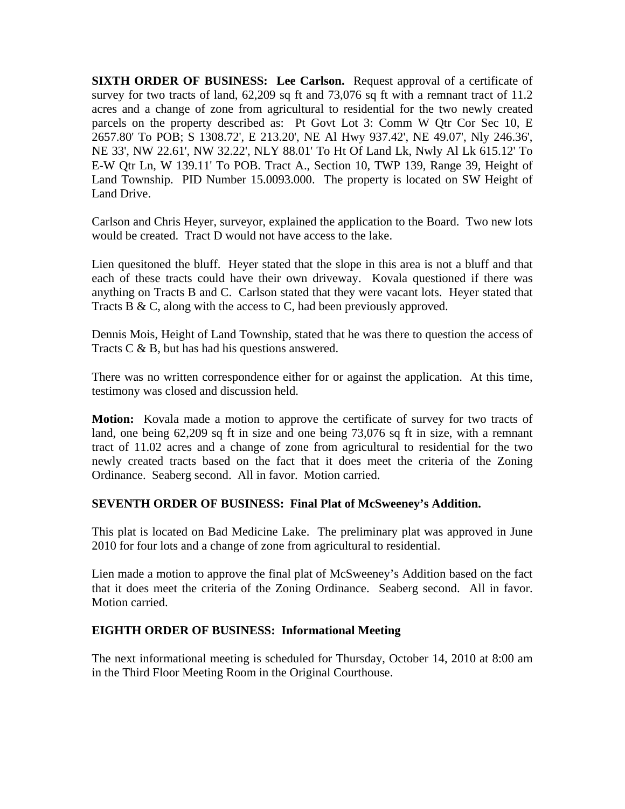**SIXTH ORDER OF BUSINESS:** Lee Carlson. Request approval of a certificate of survey for two tracts of land, 62,209 sq ft and 73,076 sq ft with a remnant tract of 11.2 acres and a change of zone from agricultural to residential for the two newly created parcels on the property described as: Pt Govt Lot 3: Comm W Qtr Cor Sec 10, E 2657.80' To POB; S 1308.72', E 213.20', NE Al Hwy 937.42', NE 49.07', Nly 246.36', NE 33', NW 22.61', NW 32.22', NLY 88.01' To Ht Of Land Lk, Nwly Al Lk 615.12' To E-W Qtr Ln, W 139.11' To POB. Tract A., Section 10, TWP 139, Range 39, Height of Land Township. PID Number 15.0093.000. The property is located on SW Height of Land Drive.

Carlson and Chris Heyer, surveyor, explained the application to the Board. Two new lots would be created. Tract D would not have access to the lake.

Lien quesitoned the bluff. Heyer stated that the slope in this area is not a bluff and that each of these tracts could have their own driveway. Kovala questioned if there was anything on Tracts B and C. Carlson stated that they were vacant lots. Heyer stated that Tracts B & C, along with the access to C, had been previously approved.

Dennis Mois, Height of Land Township, stated that he was there to question the access of Tracts C & B, but has had his questions answered.

There was no written correspondence either for or against the application. At this time, testimony was closed and discussion held.

**Motion:** Kovala made a motion to approve the certificate of survey for two tracts of land, one being 62,209 sq ft in size and one being 73,076 sq ft in size, with a remnant tract of 11.02 acres and a change of zone from agricultural to residential for the two newly created tracts based on the fact that it does meet the criteria of the Zoning Ordinance. Seaberg second. All in favor. Motion carried.

## **SEVENTH ORDER OF BUSINESS: Final Plat of McSweeney's Addition.**

This plat is located on Bad Medicine Lake. The preliminary plat was approved in June 2010 for four lots and a change of zone from agricultural to residential.

Lien made a motion to approve the final plat of McSweeney's Addition based on the fact that it does meet the criteria of the Zoning Ordinance. Seaberg second. All in favor. Motion carried.

## **EIGHTH ORDER OF BUSINESS: Informational Meeting**

The next informational meeting is scheduled for Thursday, October 14, 2010 at 8:00 am in the Third Floor Meeting Room in the Original Courthouse.